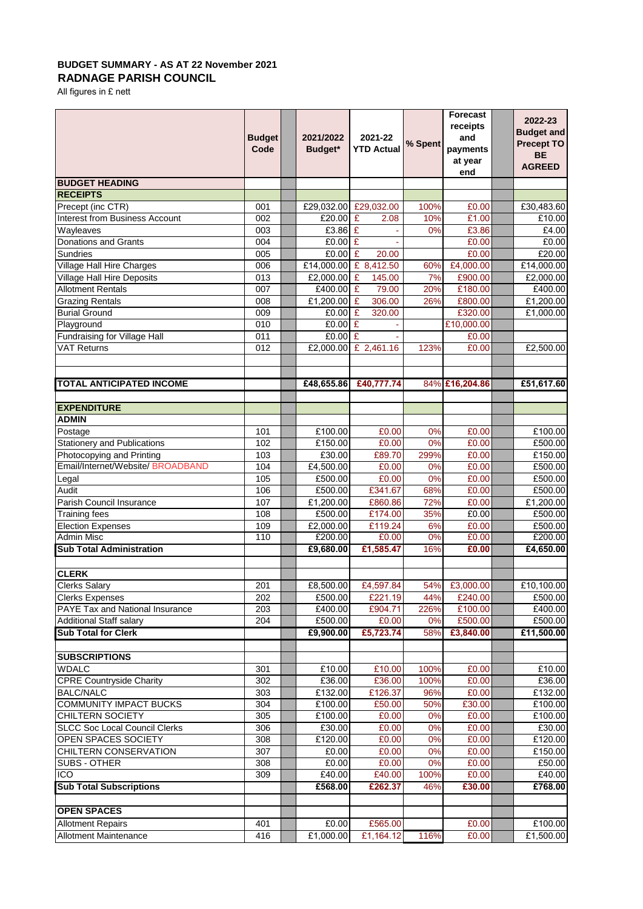## **BUDGET SUMMARY - AS AT 22 November 2021 RADNAGE PARISH COUNCIL**

All figures in £ nett

|                                       |                       |                      |                              |         | <b>Forecast</b><br>receipts | 2022-23<br><b>Budget and</b>   |
|---------------------------------------|-----------------------|----------------------|------------------------------|---------|-----------------------------|--------------------------------|
|                                       | <b>Budget</b><br>Code | 2021/2022<br>Budget* | 2021-22<br><b>YTD Actual</b> | % Spent | and<br>payments             | <b>Precept TO</b><br><b>BE</b> |
|                                       |                       |                      |                              |         | at year<br>end              | <b>AGREED</b>                  |
| <b>BUDGET HEADING</b>                 |                       |                      |                              |         |                             |                                |
| <b>RECEIPTS</b>                       |                       |                      |                              |         |                             |                                |
| Precept (inc CTR)                     | 001                   |                      | £29,032.00 £29,032.00        | 100%    | £0.00                       | £30,483.60                     |
| <b>Interest from Business Account</b> | 002                   | £20.00               | $\mathbf{E}$<br>2.08         | 10%     | £1.00                       | £10.00                         |
| Wayleaves                             | 003                   | £3.86 £              |                              | 0%      | £3.86                       | £4.00                          |
| <b>Donations and Grants</b>           | 004                   | £0.00 £              |                              |         | £0.00                       | £0.00                          |
| <b>Sundries</b>                       | 005                   | £0.00                | $\mathbf{E}$<br>20.00        |         | £0.00                       | £20.00                         |
| <b>Village Hall Hire Charges</b>      | 006                   | £14,000.00           | £ 8,412.50                   | 60%     | £4,000.00                   | £14,000.00                     |
| <b>Village Hall Hire Deposits</b>     | 013                   | £2,000.00 £          | 145.00                       | 7%      | £900.00                     | £2,000.00                      |
| <b>Allotment Rentals</b>              | 007                   | £400.00              | £<br>79.00                   | 20%     | £180.00                     | £400.00                        |
| <b>Grazing Rentals</b>                | 008                   | £1,200.00            | $\mathbf{f}$<br>306.00       | 26%     | £800.00                     | £1,200.00                      |
| <b>Burial Ground</b>                  | 009                   | £0.00                | $\mathbf f$<br>320.00        |         | £320.00                     | £1,000.00                      |
| Playground                            | 010                   | £0.00                | £                            |         | £10,000.00                  |                                |
| Fundraising for Village Hall          | 011                   | $E0.00$ £            |                              |         | £0.00                       |                                |
| <b>VAT Returns</b>                    | 012                   |                      | £2,000.00 £ 2,461.16         | 123%    | E0.00                       | £2,500.00                      |
|                                       |                       |                      |                              |         |                             |                                |
| <b>TOTAL ANTICIPATED INCOME</b>       |                       | £48,655.86           | £40,777.74                   |         | 84% £16,204.86              | £51,617.60                     |
| <b>EXPENDITURE</b>                    |                       |                      |                              |         |                             |                                |
| <b>ADMIN</b>                          |                       |                      |                              |         |                             |                                |
| Postage                               | 101                   | £100.00              | E0.00                        | 0%      | £0.00                       | £100.00                        |
| <b>Stationery and Publications</b>    | 102                   | £150.00              | £0.00                        | 0%      | £0.00                       | £500.00                        |
| Photocopying and Printing             | 103                   | £30.00               | £89.70                       | 299%    | £0.00                       | £150.00                        |
| Email/Internet/Website/BROADBAND      | 104                   | £4,500.00            | £0.00                        | 0%      | £0.00                       | £500.00                        |
| Legal                                 | 105                   | £500.00              | £0.00                        | 0%      | £0.00                       | £500.00                        |
| Audit                                 | 106                   | £500.00              | £341.67                      | 68%     | £0.00                       | £500.00                        |
| Parish Council Insurance              | 107                   | £1,200.00            | £860.86                      | 72%     | £0.00                       | £1,200.00                      |
| <b>Training fees</b>                  | 108                   | £500.00              | £174.00                      | 35%     | E0.00                       | £500.00                        |
| <b>Election Expenses</b>              | 109                   | £2,000.00            | £119.24                      | 6%      | £0.00                       | £500.00                        |
| <b>Admin Misc</b>                     | 110                   | £200.00              | £0.00                        | 0%      | £0.00                       | £200.00                        |
| <b>Sub Total Administration</b>       |                       | £9,680.00            | £1,585.47                    | 16%     | £0.00                       | E4,650.00                      |
|                                       |                       |                      |                              |         |                             |                                |
| <b>CLERK</b>                          |                       |                      |                              |         |                             |                                |
| <b>Clerks Salary</b>                  | 201                   | £8,500.00            | £4,597.84                    | 54%     | £3,000.00                   | £10,100.00                     |
| <b>Clerks Expenses</b>                | 202                   | £500.00              | £221.19                      | 44%     | £240.00                     | £500.00                        |
| PAYE Tax and National Insurance       | 203                   | £400.00              | £904.71                      | 226%    | £100.00                     | £400.00                        |
| <b>Additional Staff salary</b>        | 204                   | £500.00              | £0.00                        | 0%      | £500.00                     | £500.00                        |
| <b>Sub Total for Clerk</b>            |                       | £9,900.00            | £5,723.74                    | 58%     | £3,840.00                   | £11,500.00                     |
| <b>SUBSCRIPTIONS</b>                  |                       |                      |                              |         |                             |                                |
| <b>WDALC</b>                          | 301                   | £10.00               | £10.00                       | 100%    | E0.00                       | £10.00                         |
| <b>CPRE Countryside Charity</b>       | 302                   | £36.00               | £36.00                       | 100%    | £0.00                       | £36.00                         |
| <b>BALC/NALC</b>                      | 303                   | £132.00              | £126.37                      | 96%     | £0.00                       | £132.00                        |
| <b>COMMUNITY IMPACT BUCKS</b>         | 304                   | £100.00              | £50.00                       | 50%     | £30.00                      | £100.00                        |
| CHILTERN SOCIETY                      | 305                   | £100.00              | £0.00                        | 0%      | £0.00                       | £100.00                        |
| <b>SLCC Soc Local Council Clerks</b>  | 306                   | £30.00               | £0.00                        | 0%      | £0.00                       | £30.00                         |
| OPEN SPACES SOCIETY                   | 308                   | £120.00              | £0.00                        | 0%      | £0.00                       | £120.00                        |
| CHILTERN CONSERVATION                 | 307                   | £0.00                | £0.00                        | 0%      | £0.00                       | £150.00                        |
| SUBS - OTHER                          | 308                   | £0.00                | £0.00                        | 0%      | £0.00                       | £50.00                         |
| ICO                                   | 309                   | £40.00               | £40.00                       | 100%    | £0.00                       | £40.00                         |
| <b>Sub Total Subscriptions</b>        |                       | £568.00              | £262.37                      | 46%     | £30.00                      | £768.00                        |
|                                       |                       |                      |                              |         |                             |                                |
| <b>OPEN SPACES</b>                    |                       |                      |                              |         |                             |                                |
| <b>Allotment Repairs</b>              | 401                   | £0.00                | £565.00                      |         | £0.00                       | £100.00                        |
| <b>Allotment Maintenance</b>          | 416                   | £1,000.00            | £1,164.12                    | 116%    | £0.00                       | £1,500.00                      |